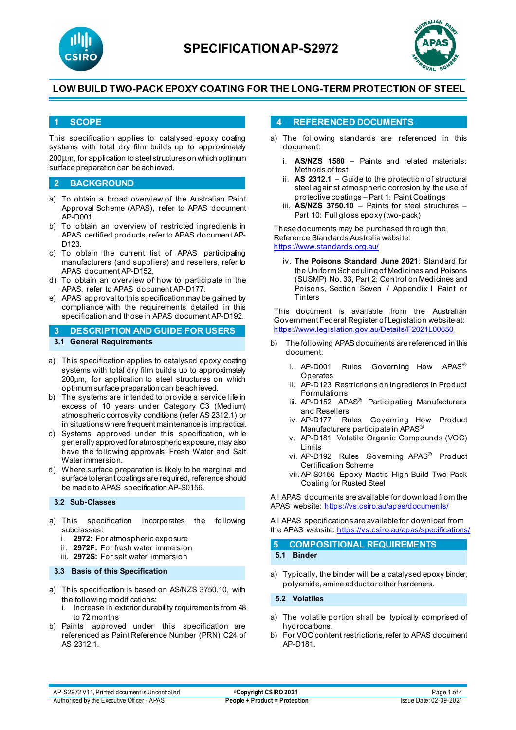



### **1 SCOPE**

This specification applies to catalysed epoxy coating systems with total dry film builds up to approximately 200µm, for application to steel structures on which optimum surface preparation can be achieved.

#### **2 BACKGROUND**

- a) To obtain a broad overview of the Australian Paint Approval Scheme (APAS), refer to APAS document AP-D001.
- b) To obtain an overview of restricted ingredients in APAS certified products, refer to APAS document AP-D123.
- c) To obtain the current list of APAS participating manufacturers (and suppliers) and resellers, refer to APAS document AP-D152.
- d) To obtain an overview of how to participate in the APAS, refer to APAS document AP-D177.
- e) APAS approval to this specification may be gained by compliance with the requirements detailed in this specification and those in APAS document AP-D192.

# **3 DESCRIPTION AND GUIDE FOR USERS**

### **3.1 General Requirements**

- a) This specification applies to catalysed epoxy coating systems with total dry film builds up to approximately 200µm, for application to steel structures on which optimum surface preparation can be achieved.
- b) The systems are intended to provide a service life in excess of 10 years under Category C3 (Medium) atmospheric corrosivity conditions (refer AS 2312.1) or in situations where frequent maintenance is impractical.
- c) Systems approved under this specification, while generally approved for atmospheric exposure, may also have the following approvals: Fresh Water and Salt Water immersion.
- d) Where surface preparation is likely to be marginal and surface tolerant coatings are required, reference should be made to APAS specification AP-S0156.

#### **3.2 Sub-Classes**

- a) This specification incorporates the following subclasses:
	- i. **2972:** For atmospheric exposure
	- ii. **2972F:** For fresh water immersion
	- iii. **2972S:** For salt water immersion

### **3.3 Basis of this Specification**

- a) This specification is based on AS/NZS 3750.10, with the following modifications:
	- i. Increase in exterior durability requirements from 48 to 72 months
- b) Paints approved under this specification are referenced as Paint Reference Number (PRN) C24 of AS 2312.1.

### **4 REFERENCED DOCUMENTS**

- a) The following standards are referenced in this document:
	- i. **AS/NZS 1580** Paints and related materials: Methods of test
	- ii. **AS 2312.1** Guide to the protection of structural steel against atmospheric corrosion by the use of protective coatings – Part 1: Paint Coatings
	- iii. **AS/NZS 3750.10** Paints for steel structures Part 10: Full gloss epoxy (two-pack)

These documents may be purchased through the Reference Standards Australia website: <https://www.standards.org.au/>

iv. **The Poisons Standard June 2021**: Standard for the Uniform Scheduling of Medicines and Poisons (SUSMP) No. 33, Part 2: Control on Medicines and Poisons, Section Seven / Appendix I Paint or **Tinters** 

This document is available from the Australian Government Federal Register of Legislation website at: <https://www.legislation.gov.au/Details/F2021L00650>

- b) The following APAS documents are referenced in this document:
	- i. AP-D001 Rules Governing How APAS® **Operates**
	- ii. AP-D123 Restrictions on Ingredients in Product Formulations
	- iii. AP-D152 APAS<sup>®</sup> Participating Manufacturers and Resellers
	- iv. AP-D177 Rules Governing How Product Manufacturers participate in APAS®
	- v. AP-D181 Volatile Organic Compounds (VOC) Limits
	- vi. AP-D192 Rules Governing APAS® Product Certification Scheme
	- vii. AP-S0156 Epoxy Mastic High Build Two-Pack Coating for Rusted Steel

All APAS documents are available for download from the APAS website: <https://vs.csiro.au/apas/documents/>

All APAS specificationsare available for download from the APAS website:<https://vs.csiro.au/apas/specifications/>

**5 COMPOSITIONAL REQUIREMENTS**

**5.1 Binder**

a) Typically, the binder will be a catalysed epoxy binder, polyamide, amine adduct or other hardeners.

**5.2 Volatiles**

- a) The volatile portion shall be typically comprised of hydrocarbons.
- b) For VOC content restrictions, refer to APAS document AP-D181.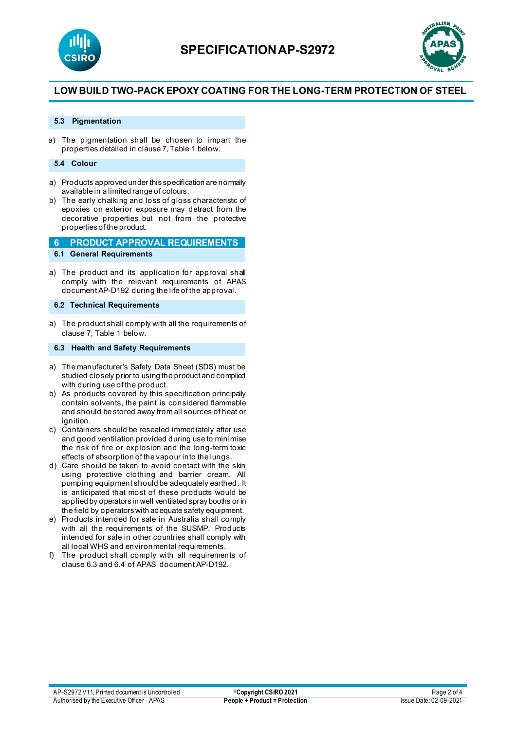



#### **5.3 Pigmentation**

a) The pigmentation shall be chosen to impart the properties detailed in clause 7, Table 1 below.

#### **5.4 Colour**

- a) Products approved under this specification are normally available in a limited range of colours.
- b) The early chalking and loss of gloss characteristic of epoxies on exterior exposure may detract from the decorative properties but not from the protective properties of the product.

**6 PRODUCT APPROVAL REQUIREMENTS 6.1 General Requirements**

a) The product and its application for approval shall comply with the relevant requirements of APAS document AP-D192 during the life of the approval.

#### **6.2 Technical Requirements**

a) The product shall comply with **all** the requirements of clause 7, Table 1 below.

#### **6.3 Health and Safety Requirements**

- a) The manufacturer's Safety Data Sheet (SDS) must be studied closely prior to using the product and complied with during use of the product.
- b) As products covered by this specification principally contain solvents, the paint is considered flammable and should be stored away from all sources of heat or ignition
- c) Containers should be resealed immediately after use and good ventilation provided during use to minimise the risk of fire or explosion and the long-term toxic effects of absorption of the vapour into the lungs.
- d) Care should be taken to avoid contact with the skin using protective clothing and barrier cream. All pumping equipment should be adequately earthed. It is anticipated that most of these products would be applied by operators in well ventilated spray booths or in the field by operators with adequate safety equipment.
- e) Products intended for sale in Australia shall comply with all the requirements of the SUSMP. Products intended for sale in other countries shall comply with all local WHS and environmental requirements.
- f) The product shall comply with all requirements of clause 6.3 and 6.4 of APAS document AP-D192.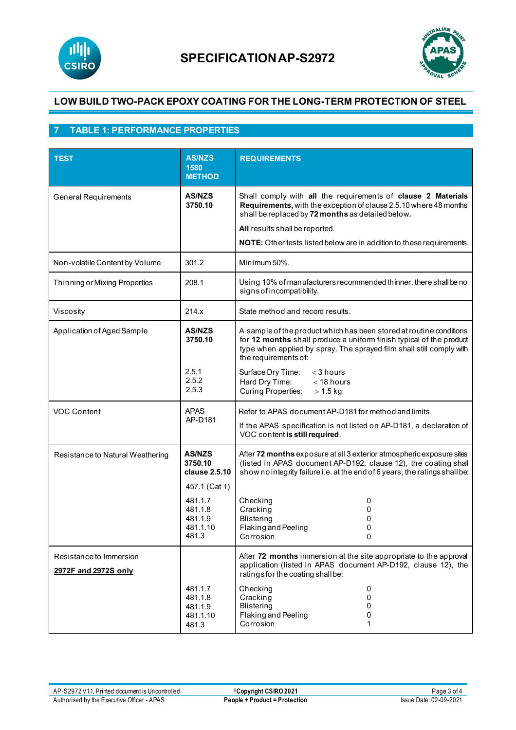



# **7 TABLE 1: PERFORMANCE PROPERTIES**

| <b>TEST</b>                                     | <b>AS/NZS</b><br>1580<br><b>METHOD</b>             | <b>REQUIREMENTS</b>                                                                                                                                                                                                                        |
|-------------------------------------------------|----------------------------------------------------|--------------------------------------------------------------------------------------------------------------------------------------------------------------------------------------------------------------------------------------------|
| <b>General Requirements</b>                     | <b>AS/NZS</b><br>3750.10                           | Shall comply with all the requirements of clause 2 Materials<br>Requirements, with the exception of clause 2.5.10 where 48 months<br>shall be replaced by 72 months as detailed below.                                                     |
|                                                 |                                                    | All results shall be reported.                                                                                                                                                                                                             |
|                                                 |                                                    | <b>NOTE:</b> Other tests listed below are in addition to these requirements.                                                                                                                                                               |
| Non-volatile Content by Volume                  | 301.2                                              | Minimum 50%.                                                                                                                                                                                                                               |
| Thinning or Mixing Properties                   | 208.1                                              | Using 10% of manufacturers recommended thinner, there shall be no<br>signs of incompatibility.                                                                                                                                             |
| Viscosity                                       | 214.x                                              | State method and record results.                                                                                                                                                                                                           |
| Application of Aged Sample                      | <b>AS/NZS</b><br>3750.10                           | A sample of the product which has been stored at routine conditions<br>for 12 months shall produce a uniform finish typical of the product<br>type when applied by spray. The sprayed film shall still comply with<br>the requirements of: |
|                                                 | 2.5.1<br>2.5.2<br>2.5.3                            | Surface Dry Time:<br>$<$ 3 hours<br>Hard Dry Time:<br>$<$ 18 hours<br><b>Curing Properties:</b><br>$> 1.5$ kg                                                                                                                              |
| <b>APAS</b><br><b>VOC Content</b><br>AP-D181    |                                                    | Refer to APAS document AP-D181 for method and limits.                                                                                                                                                                                      |
|                                                 |                                                    | If the APAS specification is not listed on AP-D181, a declaration of<br>VOC content is still required.                                                                                                                                     |
| Resistance to Natural Weathering                | <b>AS/NZS</b><br>3750.10<br>clause 2.5.10          | After 72 months exposure at all 3 exterior atmospheric exposure sites<br>(listed in APAS document AP-D192, clause 12), the coating shall<br>show no integrity failure i.e. at the end of 6 years, the ratings shall be:                    |
|                                                 | 457.1 (Cat 1)                                      |                                                                                                                                                                                                                                            |
|                                                 | 481.1.7<br>481.1.8<br>481.1.9<br>481.1.10<br>481.3 | Checking<br>0<br>Cracking<br>0<br><b>Blistering</b><br>0<br>Flaking and Peeling<br>0<br>Corrosion<br>0                                                                                                                                     |
| Resistance to Immersion<br>2972F and 2972S only |                                                    | After 72 months immersion at the site appropriate to the approval<br>application (listed in APAS document AP-D192, clause 12), the<br>ratings for the coating shall be:                                                                    |
|                                                 | 481.1.7<br>481.1.8<br>481.1.9<br>481.1.10<br>481.3 | Checking<br>0<br>Cracking<br>0<br><b>Blistering</b><br>0<br>Flaking and Peeling<br>0<br>Corrosion<br>1                                                                                                                                     |